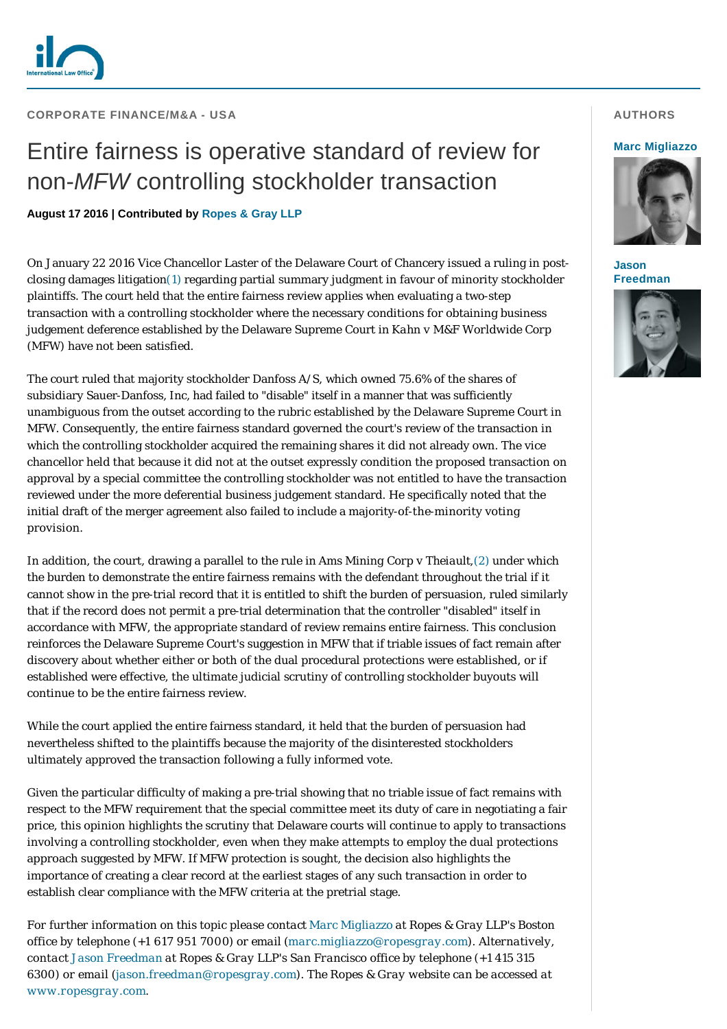

## **CORPORATE FINANCE/M&A - USA**

# Entire fairness is operative standard of review for non-*MFW* controlling stockholder transaction

**August 17 2016 | Contributed by [Ropes & Gray LLP](http://www.internationallawoffice.com/gesr.ashx?l=7S7BGPT)**

On January 22 2016 Vice Chancellor Laster of the Delaware Court of Chancery issued a ruling in postclosing damages litigatio[n\(1\)](#page-1-0) regarding partial summary judgment in favour of minority stockholder plaintiffs. The court held that the entire fairness review applies when evaluating a two-step transaction with a controlling stockholder where the necessary conditions for obtaining business judgement deference established by the Delaware Supreme Court in *Kahn v M&F Worldwide Corp* (*MFW*) have not been satisfied.

The court ruled that majority stockholder Danfoss A/S, which owned 75.6% of the shares of subsidiary Sauer-Danfoss, Inc, had failed to "disable" itself in a manner that was sufficiently unambiguous from the outset according to the rubric established by the Delaware Supreme Court in *MFW*. Consequently, the entire fairness standard governed the court's review of the transaction in which the controlling stockholder acquired the remaining shares it did not already own. The vice chancellor held that because it did not at the outset expressly condition the proposed transaction on approval by a special committee the controlling stockholder was not entitled to have the transaction reviewed under the more deferential business judgement standard. He specifically noted that the initial draft of the merger agreement also failed to include a majority-of-the-minority voting provision.

In addition, the court, drawing a parallel to the rule in *Ams Mining Corp v Theiault*,[\(2\)](#page-1-1) under which the burden to demonstrate the entire fairness remains with the defendant throughout the trial if it cannot show in the pre-trial record that it is entitled to shift the burden of persuasion, ruled similarly that if the record does not permit a pre-trial determination that the controller "disabled" itself in accordance with *MFW*, the appropriate standard of review remains entire fairness. This conclusion reinforces the Delaware Supreme Court's suggestion in *MFW* that if triable issues of fact remain after discovery about whether either or both of the dual procedural protections were established, or if established were effective, the ultimate judicial scrutiny of controlling stockholder buyouts will continue to be the entire fairness review.

While the court applied the entire fairness standard, it held that the burden of persuasion had nevertheless shifted to the plaintiffs because the majority of the disinterested stockholders ultimately approved the transaction following a fully informed vote.

Given the particular difficulty of making a pre-trial showing that no triable issue of fact remains with respect to the *MFW* requirement that the special committee meet its duty of care in negotiating a fair price, this opinion highlights the scrutiny that Delaware courts will continue to apply to transactions involving a controlling stockholder, even when they make attempts to employ the dual protections approach suggested by *MFW*. If *MFW* protection is sought, the decision also highlights the importance of creating a clear record at the earliest stages of any such transaction in order to establish clear compliance with the *MFW* criteria at the pretrial stage.

*For further information on this topic please contact [Marc Migliazzo a](http://www.internationallawoffice.com/gesr.ashx?l=7S7BGPW)t Ropes & Gray LLP's Boston office by telephone (+1 617 951 7000) or email ([marc.migliazzo](mailto:marc.migliazzo@ropesgray.com)[@ropesgray.com\)](mailto:martin.crisp@ropesgray.com?subject=Article%20on%20ILO). Alternatively, contact [Jason Freedman](http://www.internationallawoffice.com/gesr.ashx?l=7S7BGPZ) at Ropes & Gray LLP's San Francisco office by telephone (+1 415 315 6300) or email ([j](mailto:Jason.Freedman@ropesgray.com)[ason.freedman@ropesgray.com](mailto:jason.freedman@ropesgray.com?subject=Article%20on%20ILO)). The Ropes & Gray website can be accessed at [www.ropesgray.com](http://www.internationallawoffice.com/gesr.ashx?l=7S7BGQ2).*

## **AUTHORS**

#### **[Marc Migliazzo](http://www.internationallawoffice.com/gesr.ashx?l=7S7BGQ8)**



**Jason [Freedman](http://www.internationallawoffice.com/gesr.ashx?l=7S7BGPZ)**